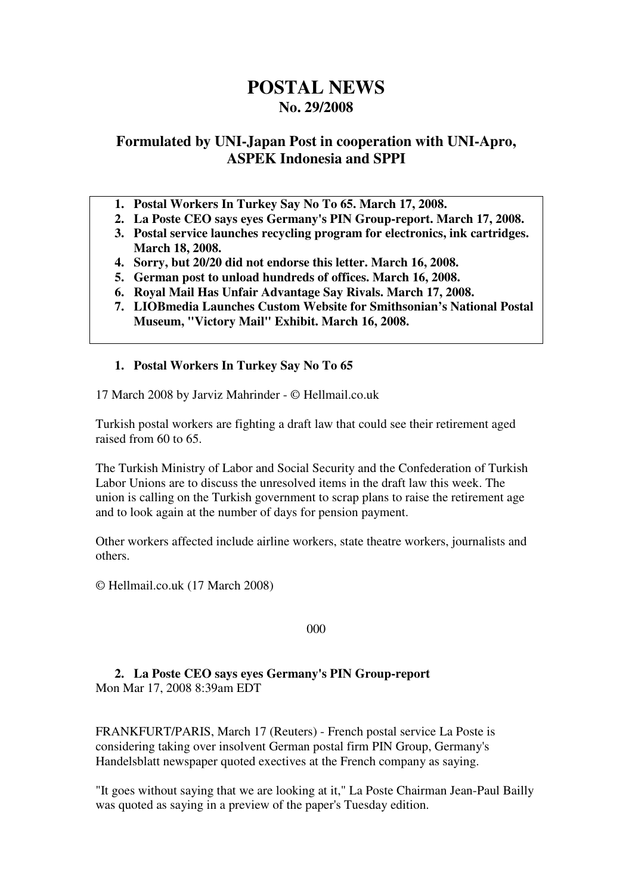# **POSTAL NEWS No. 29/2008**

# **Formulated by UNI-Japan Post in cooperation with UNI-Apro, ASPEK Indonesia and SPPI**

- **1. Postal Workers In Turkey Say No To 65. March 17, 2008.**
- **2. La Poste CEO says eyes Germany's PIN Group-report. March 17, 2008.**
- **3. Postal service launches recycling program for electronics, ink cartridges. March 18, 2008.**
- **4. Sorry, but 20/20 did not endorse this letter. March 16, 2008.**
- **5. German post to unload hundreds of offices. March 16, 2008.**
- **6. Royal Mail Has Unfair Advantage Say Rivals. March 17, 2008.**
- **7. LIOBmedia Launches Custom Website for Smithsonian's National Postal Museum, "Victory Mail" Exhibit. March 16, 2008.**
- **1. Postal Workers In Turkey Say No To 65**

17 March 2008 by Jarviz Mahrinder - © Hellmail.co.uk

Turkish postal workers are fighting a draft law that could see their retirement aged raised from 60 to 65.

The Turkish Ministry of Labor and Social Security and the Confederation of Turkish Labor Unions are to discuss the unresolved items in the draft law this week. The union is calling on the Turkish government to scrap plans to raise the retirement age and to look again at the number of days for pension payment.

Other workers affected include airline workers, state theatre workers, journalists and others.

© Hellmail.co.uk (17 March 2008)

000

## **2. La Poste CEO says eyes Germany's PIN Group-report**  Mon Mar 17, 2008 8:39am EDT

FRANKFURT/PARIS, March 17 (Reuters) - French postal service La Poste is considering taking over insolvent German postal firm PIN Group, Germany's Handelsblatt newspaper quoted exectives at the French company as saying.

"It goes without saying that we are looking at it," La Poste Chairman Jean-Paul Bailly was quoted as saying in a preview of the paper's Tuesday edition.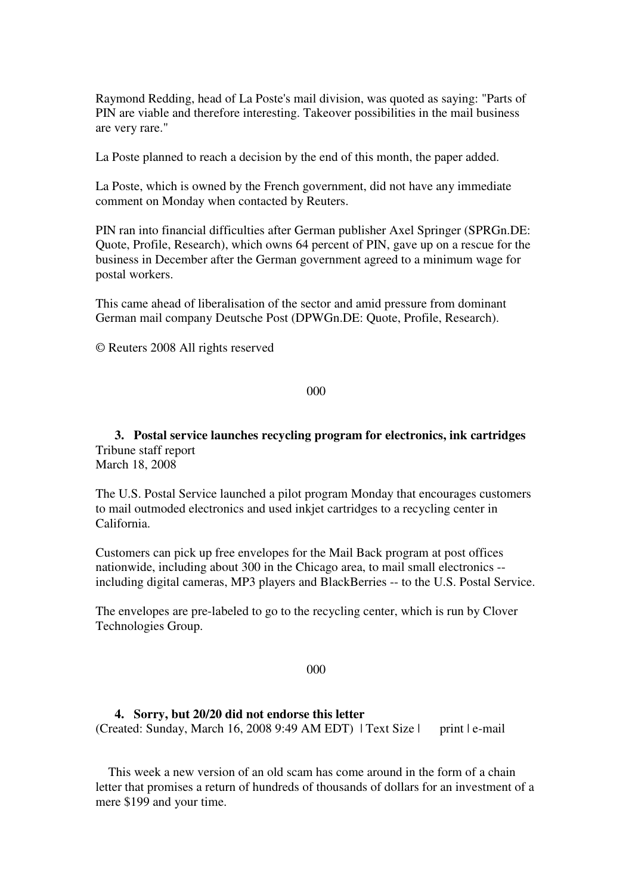Raymond Redding, head of La Poste's mail division, was quoted as saying: "Parts of PIN are viable and therefore interesting. Takeover possibilities in the mail business are very rare."

La Poste planned to reach a decision by the end of this month, the paper added.

La Poste, which is owned by the French government, did not have any immediate comment on Monday when contacted by Reuters.

PIN ran into financial difficulties after German publisher Axel Springer (SPRGn.DE: Quote, Profile, Research), which owns 64 percent of PIN, gave up on a rescue for the business in December after the German government agreed to a minimum wage for postal workers.

This came ahead of liberalisation of the sector and amid pressure from dominant German mail company Deutsche Post (DPWGn.DE: Quote, Profile, Research).

© Reuters 2008 All rights reserved

000

**3. Postal service launches recycling program for electronics, ink cartridges**  Tribune staff report March 18, 2008

The U.S. Postal Service launched a pilot program Monday that encourages customers to mail outmoded electronics and used inkjet cartridges to a recycling center in California.

Customers can pick up free envelopes for the Mail Back program at post offices nationwide, including about 300 in the Chicago area, to mail small electronics - including digital cameras, MP3 players and BlackBerries -- to the U.S. Postal Service.

The envelopes are pre-labeled to go to the recycling center, which is run by Clover Technologies Group.

000

#### **4. Sorry, but 20/20 did not endorse this letter**

(Created: Sunday, March 16, 2008 9:49 AM EDT) | Text Size | print  $|e$ -mail

 This week a new version of an old scam has come around in the form of a chain letter that promises a return of hundreds of thousands of dollars for an investment of a mere \$199 and your time.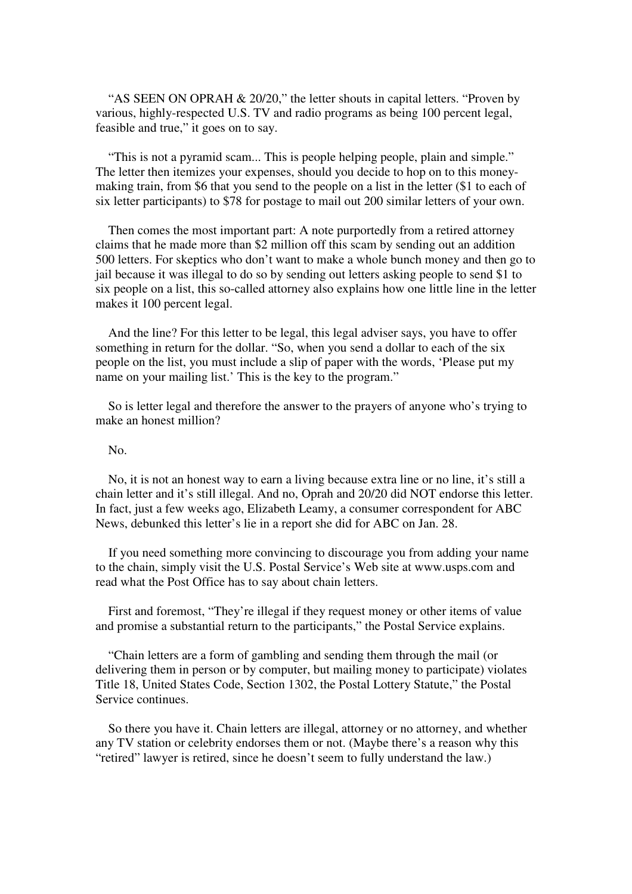"AS SEEN ON OPRAH & 20/20," the letter shouts in capital letters. "Proven by various, highly-respected U.S. TV and radio programs as being 100 percent legal, feasible and true," it goes on to say.

 "This is not a pyramid scam... This is people helping people, plain and simple." The letter then itemizes your expenses, should you decide to hop on to this moneymaking train, from \$6 that you send to the people on a list in the letter (\$1 to each of six letter participants) to \$78 for postage to mail out 200 similar letters of your own.

 Then comes the most important part: A note purportedly from a retired attorney claims that he made more than \$2 million off this scam by sending out an addition 500 letters. For skeptics who don't want to make a whole bunch money and then go to jail because it was illegal to do so by sending out letters asking people to send \$1 to six people on a list, this so-called attorney also explains how one little line in the letter makes it 100 percent legal.

 And the line? For this letter to be legal, this legal adviser says, you have to offer something in return for the dollar. "So, when you send a dollar to each of the six people on the list, you must include a slip of paper with the words, 'Please put my name on your mailing list.' This is the key to the program."

 So is letter legal and therefore the answer to the prayers of anyone who's trying to make an honest million?

#### No.

 No, it is not an honest way to earn a living because extra line or no line, it's still a chain letter and it's still illegal. And no, Oprah and 20/20 did NOT endorse this letter. In fact, just a few weeks ago, Elizabeth Leamy, a consumer correspondent for ABC News, debunked this letter's lie in a report she did for ABC on Jan. 28.

 If you need something more convincing to discourage you from adding your name to the chain, simply visit the U.S. Postal Service's Web site at www.usps.com and read what the Post Office has to say about chain letters.

 First and foremost, "They're illegal if they request money or other items of value and promise a substantial return to the participants," the Postal Service explains.

 "Chain letters are a form of gambling and sending them through the mail (or delivering them in person or by computer, but mailing money to participate) violates Title 18, United States Code, Section 1302, the Postal Lottery Statute," the Postal Service continues.

 So there you have it. Chain letters are illegal, attorney or no attorney, and whether any TV station or celebrity endorses them or not. (Maybe there's a reason why this "retired" lawyer is retired, since he doesn't seem to fully understand the law.)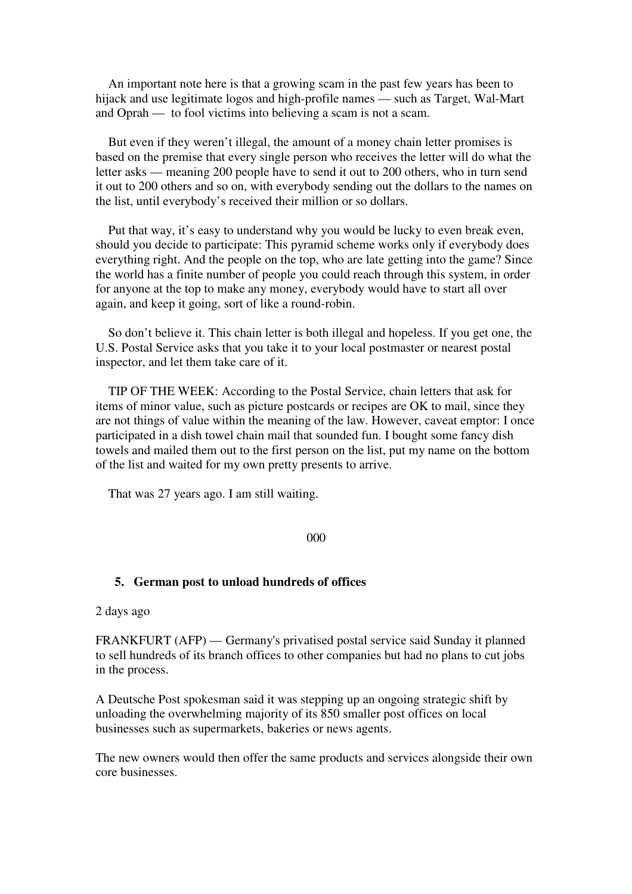An important note here is that a growing scam in the past few years has been to hijack and use legitimate logos and high-profile names — such as Target, Wal-Mart and Oprah — to fool victims into believing a scam is not a scam.

 But even if they weren't illegal, the amount of a money chain letter promises is based on the premise that every single person who receives the letter will do what the letter asks — meaning 200 people have to send it out to 200 others, who in turn send it out to 200 others and so on, with everybody sending out the dollars to the names on the list, until everybody's received their million or so dollars.

 Put that way, it's easy to understand why you would be lucky to even break even, should you decide to participate: This pyramid scheme works only if everybody does everything right. And the people on the top, who are late getting into the game? Since the world has a finite number of people you could reach through this system, in order for anyone at the top to make any money, everybody would have to start all over again, and keep it going, sort of like a round-robin.

 So don't believe it. This chain letter is both illegal and hopeless. If you get one, the U.S. Postal Service asks that you take it to your local postmaster or nearest postal inspector, and let them take care of it.

 TIP OF THE WEEK: According to the Postal Service, chain letters that ask for items of minor value, such as picture postcards or recipes are OK to mail, since they are not things of value within the meaning of the law. However, caveat emptor: I once participated in a dish towel chain mail that sounded fun. I bought some fancy dish towels and mailed them out to the first person on the list, put my name on the bottom of the list and waited for my own pretty presents to arrive.

That was 27 years ago. I am still waiting.

#### 000

#### **5. German post to unload hundreds of offices**

2 days ago

FRANKFURT (AFP) — Germany's privatised postal service said Sunday it planned to sell hundreds of its branch offices to other companies but had no plans to cut jobs in the process.

A Deutsche Post spokesman said it was stepping up an ongoing strategic shift by unloading the overwhelming majority of its 850 smaller post offices on local businesses such as supermarkets, bakeries or news agents.

The new owners would then offer the same products and services alongside their own core businesses.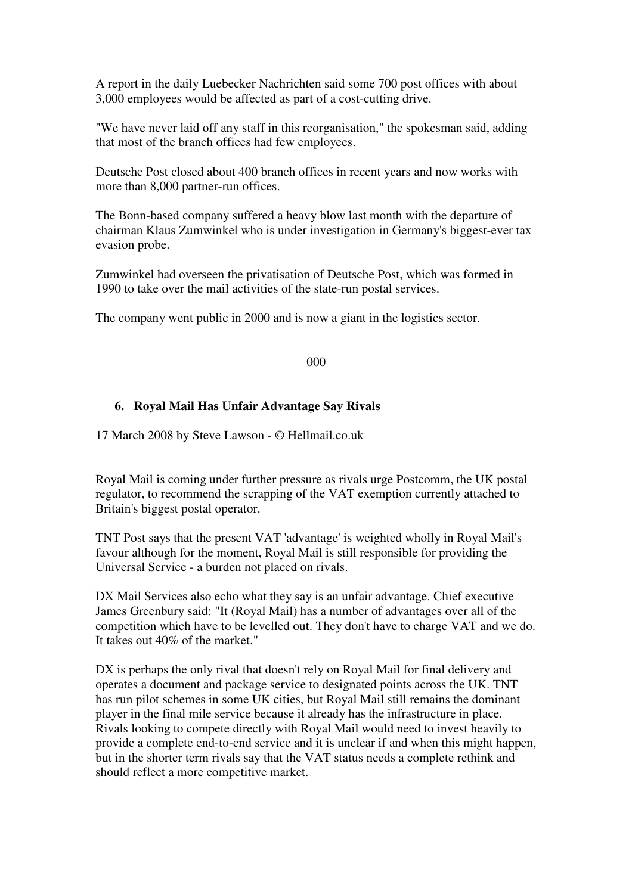A report in the daily Luebecker Nachrichten said some 700 post offices with about 3,000 employees would be affected as part of a cost-cutting drive.

"We have never laid off any staff in this reorganisation," the spokesman said, adding that most of the branch offices had few employees.

Deutsche Post closed about 400 branch offices in recent years and now works with more than 8,000 partner-run offices.

The Bonn-based company suffered a heavy blow last month with the departure of chairman Klaus Zumwinkel who is under investigation in Germany's biggest-ever tax evasion probe.

Zumwinkel had overseen the privatisation of Deutsche Post, which was formed in 1990 to take over the mail activities of the state-run postal services.

The company went public in 2000 and is now a giant in the logistics sector.

#### 000

### **6. Royal Mail Has Unfair Advantage Say Rivals**

17 March 2008 by Steve Lawson - © Hellmail.co.uk

Royal Mail is coming under further pressure as rivals urge Postcomm, the UK postal regulator, to recommend the scrapping of the VAT exemption currently attached to Britain's biggest postal operator.

TNT Post says that the present VAT 'advantage' is weighted wholly in Royal Mail's favour although for the moment, Royal Mail is still responsible for providing the Universal Service - a burden not placed on rivals.

DX Mail Services also echo what they say is an unfair advantage. Chief executive James Greenbury said: "It (Royal Mail) has a number of advantages over all of the competition which have to be levelled out. They don't have to charge VAT and we do. It takes out 40% of the market."

DX is perhaps the only rival that doesn't rely on Royal Mail for final delivery and operates a document and package service to designated points across the UK. TNT has run pilot schemes in some UK cities, but Royal Mail still remains the dominant player in the final mile service because it already has the infrastructure in place. Rivals looking to compete directly with Royal Mail would need to invest heavily to provide a complete end-to-end service and it is unclear if and when this might happen, but in the shorter term rivals say that the VAT status needs a complete rethink and should reflect a more competitive market.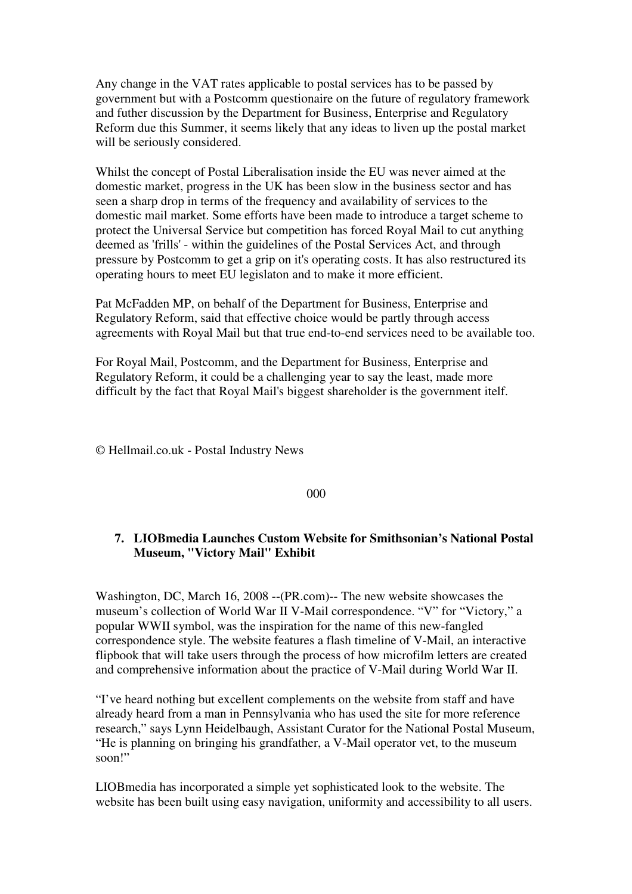Any change in the VAT rates applicable to postal services has to be passed by government but with a Postcomm questionaire on the future of regulatory framework and futher discussion by the Department for Business, Enterprise and Regulatory Reform due this Summer, it seems likely that any ideas to liven up the postal market will be seriously considered.

Whilst the concept of Postal Liberalisation inside the EU was never aimed at the domestic market, progress in the UK has been slow in the business sector and has seen a sharp drop in terms of the frequency and availability of services to the domestic mail market. Some efforts have been made to introduce a target scheme to protect the Universal Service but competition has forced Royal Mail to cut anything deemed as 'frills' - within the guidelines of the Postal Services Act, and through pressure by Postcomm to get a grip on it's operating costs. It has also restructured its operating hours to meet EU legislaton and to make it more efficient.

Pat McFadden MP, on behalf of the Department for Business, Enterprise and Regulatory Reform, said that effective choice would be partly through access agreements with Royal Mail but that true end-to-end services need to be available too.

For Royal Mail, Postcomm, and the Department for Business, Enterprise and Regulatory Reform, it could be a challenging year to say the least, made more difficult by the fact that Royal Mail's biggest shareholder is the government itelf.

© Hellmail.co.uk - Postal Industry News

000

# **7. LIOBmedia Launches Custom Website for Smithsonian's National Postal Museum, "Victory Mail" Exhibit**

Washington, DC, March 16, 2008 --(PR.com)-- The new website showcases the museum's collection of World War II V-Mail correspondence. "V" for "Victory," a popular WWII symbol, was the inspiration for the name of this new-fangled correspondence style. The website features a flash timeline of V-Mail, an interactive flipbook that will take users through the process of how microfilm letters are created and comprehensive information about the practice of V-Mail during World War II.

"I've heard nothing but excellent complements on the website from staff and have already heard from a man in Pennsylvania who has used the site for more reference research," says Lynn Heidelbaugh, Assistant Curator for the National Postal Museum, "He is planning on bringing his grandfather, a V-Mail operator vet, to the museum soon!"

LIOBmedia has incorporated a simple yet sophisticated look to the website. The website has been built using easy navigation, uniformity and accessibility to all users.